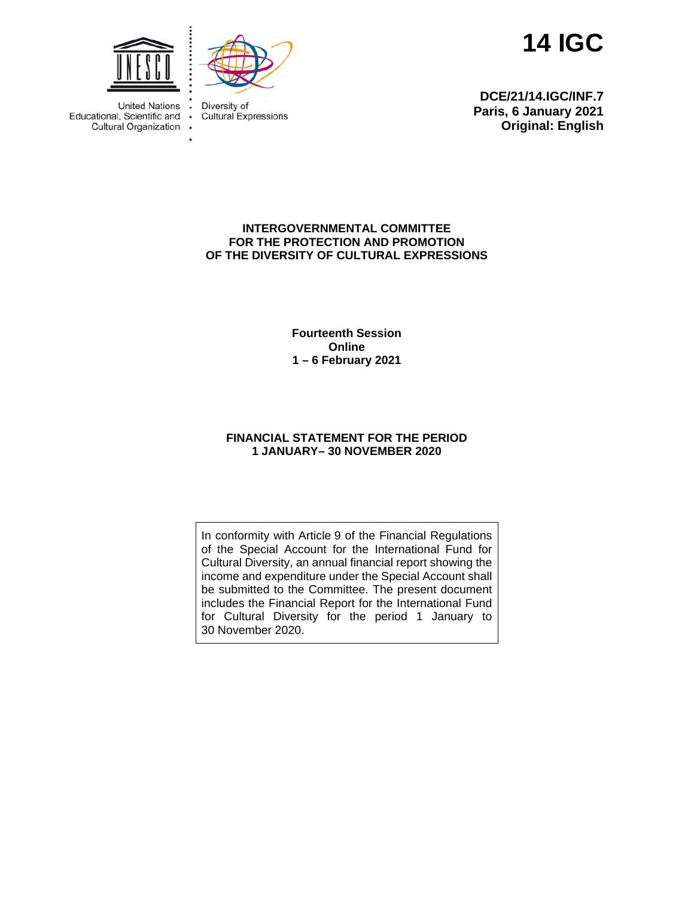**14 IGC** 



Diversity of **Cultural Expressions** 

**DCE/21/14.IGC/INF.7 Paris, 6 January 2021 Original: English**

# **INTERGOVERNMENTAL COMMITTEE FOR THE PROTECTION AND PROMOTION OF THE DIVERSITY OF CULTURAL EXPRESSIONS**

**Fourteenth Session Online 1 – 6 February 2021** 

# **FINANCIAL STATEMENT FOR THE PERIOD 1 JANUARY– 30 NOVEMBER 2020**

In conformity with Article 9 of the Financial Regulations of the Special Account for the International Fund for Cultural Diversity, an annual financial report showing the income and expenditure under the Special Account shall be submitted to the Committee. The present document includes the Financial Report for the International Fund for Cultural Diversity for the period 1 January to 30 November 2020.



United Nations . Educational, Scientific and • Cultural Organization .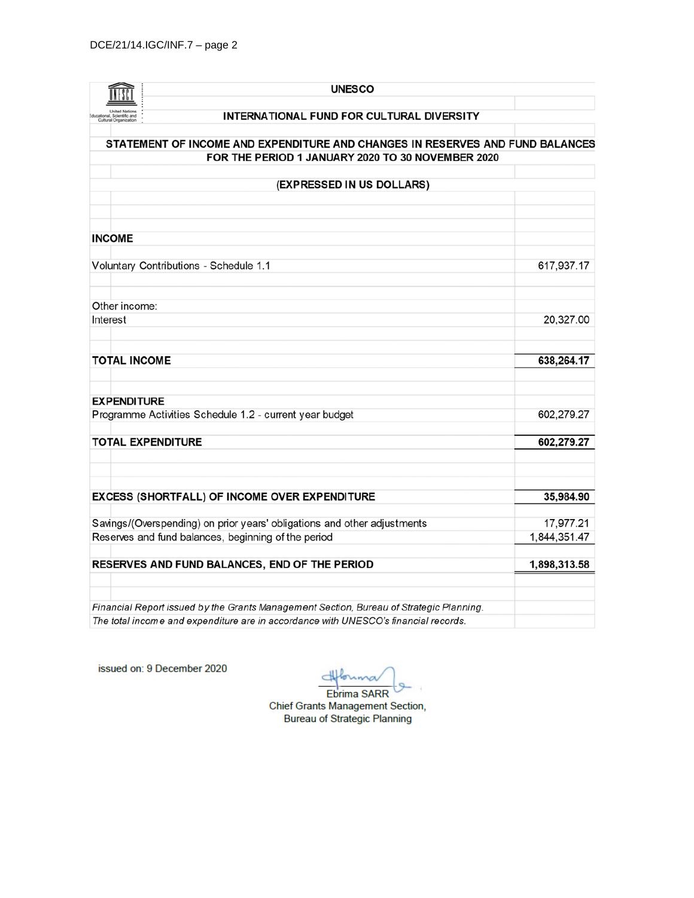| <b>UNESCO</b>                                                                                                                      |                           |
|------------------------------------------------------------------------------------------------------------------------------------|---------------------------|
| INTERNATIONAL FUND FOR CULTURAL DIVERSITY                                                                                          |                           |
|                                                                                                                                    |                           |
| STATEMENT OF INCOME AND EXPENDITURE AND CHANGES IN RESERVES AND FUND BALANCES<br>FOR THE PERIOD 1 JANUARY 2020 TO 30 NOVEMBER 2020 |                           |
| (EXPRESSED IN US DOLLARS)                                                                                                          |                           |
|                                                                                                                                    |                           |
| <b>INCOME</b>                                                                                                                      |                           |
| Voluntary Contributions - Schedule 1.1                                                                                             | 617,937.17                |
| Other income:                                                                                                                      |                           |
| Interest                                                                                                                           | 20,327.00                 |
| <b>TOTAL INCOME</b>                                                                                                                | 638,264.17                |
| <b>EXPENDITURE</b>                                                                                                                 |                           |
| Programme Activities Schedule 1.2 - current year budget                                                                            | 602,279.27                |
| <b>TOTAL EXPENDITURE</b>                                                                                                           | 602,279.27                |
| EXCESS (SHORTFALL) OF INCOME OVER EXPENDITURE                                                                                      | 35,984.90                 |
|                                                                                                                                    |                           |
| Savings/(Overspending) on prior years' obligations and other adjustments<br>Reserves and fund balances, beginning of the period    | 17,977.21<br>1,844,351.47 |
| RESERVES AND FUND BALANCES, END OF THE PERIOD                                                                                      | 1,898,313.58              |
| Financial Report issued by the Grants Management Section, Bureau of Strategic Planning.                                            |                           |
| The total income and expenditure are in accordance with UNESCO's financial records.                                                |                           |

issued on: 9 December 2020

 $\rightarrow$  $L_{max}$ 

Ebrima SARR Chief Grants Management Section,<br>Bureau of Strategic Planning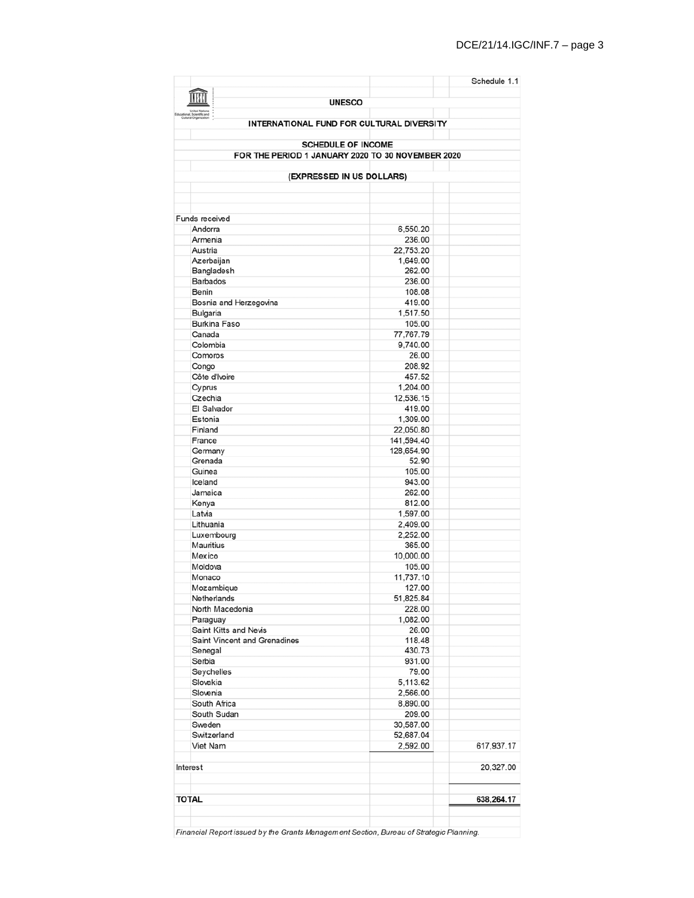|                                 |                                                   | Schedule 1.1 |  |  |  |  |  |  |  |
|---------------------------------|---------------------------------------------------|--------------|--|--|--|--|--|--|--|
|                                 |                                                   |              |  |  |  |  |  |  |  |
|                                 | <b>UNESCO</b>                                     |              |  |  |  |  |  |  |  |
|                                 | <b>INTERNATIONAL FUND FOR CULTURAL DIVERSITY</b>  |              |  |  |  |  |  |  |  |
|                                 |                                                   |              |  |  |  |  |  |  |  |
| <b>SCHEDULE OF INCOME</b>       |                                                   |              |  |  |  |  |  |  |  |
|                                 | FOR THE PERIOD 1 JANUARY 2020 TO 30 NOVEMBER 2020 |              |  |  |  |  |  |  |  |
|                                 | (EXPRESSED IN US DOLLARS)                         |              |  |  |  |  |  |  |  |
|                                 |                                                   |              |  |  |  |  |  |  |  |
|                                 |                                                   |              |  |  |  |  |  |  |  |
|                                 |                                                   |              |  |  |  |  |  |  |  |
| Funds received<br>Andorra       | 6,550.20                                          |              |  |  |  |  |  |  |  |
| Armenia                         | 236.00                                            |              |  |  |  |  |  |  |  |
| Austria                         | 22,753.20                                         |              |  |  |  |  |  |  |  |
| Azerbaijan                      | 1,649.00                                          |              |  |  |  |  |  |  |  |
| Bangladesh                      | 262.00                                            |              |  |  |  |  |  |  |  |
| <b>Barbados</b>                 | 236.00                                            |              |  |  |  |  |  |  |  |
| Benin                           | 108.08                                            |              |  |  |  |  |  |  |  |
| Bosnia and Herzegovina          | 419.00                                            |              |  |  |  |  |  |  |  |
| Bulgaria<br><b>Burkina Faso</b> | 1,517.50<br>105.00                                |              |  |  |  |  |  |  |  |
| Canada                          | 77,767.79                                         |              |  |  |  |  |  |  |  |
| Colombia                        | 9,740.00                                          |              |  |  |  |  |  |  |  |
| Comoros                         | 26.00                                             |              |  |  |  |  |  |  |  |
| Congo                           | 208.92                                            |              |  |  |  |  |  |  |  |
| Côte d'Ivoire                   | 457.52                                            |              |  |  |  |  |  |  |  |
| Cyprus                          | 1,204.00                                          |              |  |  |  |  |  |  |  |
| Czechia                         | 12,536.15                                         |              |  |  |  |  |  |  |  |
| El Salvador<br>Estonia          | 419.00                                            |              |  |  |  |  |  |  |  |
| Finland                         | 1,309.00<br>22,050.80                             |              |  |  |  |  |  |  |  |
| France                          | 141,594.40                                        |              |  |  |  |  |  |  |  |
| Germany                         | 128,654.90                                        |              |  |  |  |  |  |  |  |
| Grenada                         | 52.90                                             |              |  |  |  |  |  |  |  |
| Guinea                          | 105.00                                            |              |  |  |  |  |  |  |  |
| Iceland                         | 943.00                                            |              |  |  |  |  |  |  |  |
| Jamaica                         | 262.00                                            |              |  |  |  |  |  |  |  |
| Kenya                           | 812.00                                            |              |  |  |  |  |  |  |  |
| Latvia<br>Lithuania             | 1,597.00<br>2,409.00                              |              |  |  |  |  |  |  |  |
| Luxembourg                      | 2.252.00                                          |              |  |  |  |  |  |  |  |
| Mauritius                       | 365.00                                            |              |  |  |  |  |  |  |  |
| Mexico                          | 10,000.00                                         |              |  |  |  |  |  |  |  |
| Moldova                         | 105.00                                            |              |  |  |  |  |  |  |  |
| Monaco                          | 11,737.10                                         |              |  |  |  |  |  |  |  |
| Mozambique                      | 127.00                                            |              |  |  |  |  |  |  |  |
| Netherlands                     | 51,825.84                                         |              |  |  |  |  |  |  |  |
| North Macedonia<br>Paraguay     | 228.00<br>1,082.00                                |              |  |  |  |  |  |  |  |
| Saint Kitts and Nevis           | 26.00                                             |              |  |  |  |  |  |  |  |
| Saint Vincent and Grenadines    | 118.48                                            |              |  |  |  |  |  |  |  |
| Senegal                         | 430.73                                            |              |  |  |  |  |  |  |  |
| Serbia                          | 931.00                                            |              |  |  |  |  |  |  |  |
| Seychelles                      | 79.00                                             |              |  |  |  |  |  |  |  |
| Slovakia                        | 5,113.62                                          |              |  |  |  |  |  |  |  |
| Slovenia                        | 2,566.00                                          |              |  |  |  |  |  |  |  |
| South Africa<br>South Sudan     | 8,890.00                                          |              |  |  |  |  |  |  |  |
| Sweden                          | 209.00<br>30,587.00                               |              |  |  |  |  |  |  |  |
| Switzerland                     | 52,687.04                                         |              |  |  |  |  |  |  |  |
| Viet Nam                        | 2,592.00                                          | 617,937.17   |  |  |  |  |  |  |  |
|                                 |                                                   |              |  |  |  |  |  |  |  |
| Interest                        |                                                   | 20,327.00    |  |  |  |  |  |  |  |
|                                 |                                                   |              |  |  |  |  |  |  |  |
|                                 |                                                   |              |  |  |  |  |  |  |  |
| <b>TOTAL</b>                    |                                                   | 638,264.17   |  |  |  |  |  |  |  |
|                                 |                                                   |              |  |  |  |  |  |  |  |
|                                 |                                                   |              |  |  |  |  |  |  |  |

Financial Report issued by the Grants Management Section, Bureau of Strategic Planning.